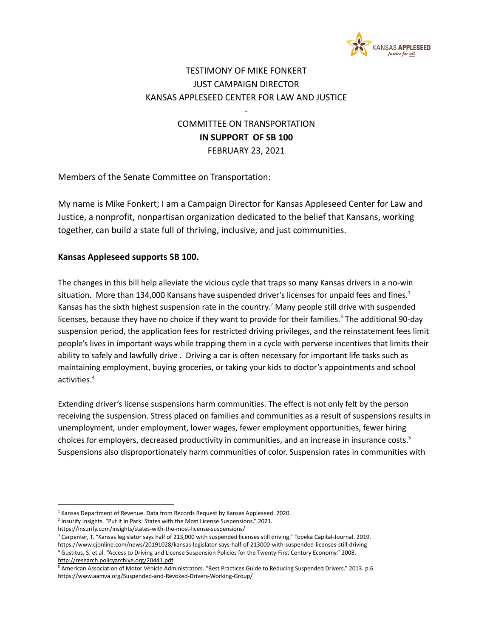

## TESTIMONY OF MIKE FONKERT JUST CAMPAIGN DIRECTOR KANSAS APPLESEED CENTER FOR LAW AND JUSTICE

COMMITTEE ON TRANSPORTATION **IN SUPPORT OF SB 100** FEBRUARY 23, 2021

-

Members of the Senate Committee on Transportation:

My name is Mike Fonkert; I am a Campaign Director for Kansas Appleseed Center for Law and Justice, a nonprofit, nonpartisan organization dedicated to the belief that Kansans, working together, can build a state full of thriving, inclusive, and just communities.

## **Kansas Appleseed supports SB 100.**

The changes in this bill help alleviate the vicious cycle that traps so many Kansas drivers in a no-win situation. More than 134,000 Kansans have suspended driver's licenses for unpaid fees and fines.<sup>1</sup> Kansas has the sixth highest suspension rate in the country.<sup>2</sup> Many people still drive with suspended licenses, because they have no choice if they want to provide for their families.<sup>3</sup> The additional 90-day suspension period, the application fees for restricted driving privileges, and the reinstatement fees limit people's lives in important ways while trapping them in a cycle with perverse incentives that limits their ability to safely and lawfully drive . Driving a car is often necessary for important life tasks such as maintaining employment, buying groceries, or taking your kids to doctor's appointments and school activities. 4

Extending driver's license suspensions harm communities. The effect is not only felt by the person receiving the suspension. Stress placed on families and communities as a result of suspensions results in unemployment, under employment, lower wages, fewer employment opportunities, fewer hiring choices for employers, decreased productivity in communities, and an increase in insurance costs. 5 Suspensions also disproportionately harm communities of color. Suspension rates in communities with

<sup>&</sup>lt;sup>1</sup> Kansas Department of Revenue. Data from Records Request by Kansas Appleseed. 2020.

<sup>&</sup>lt;sup>2</sup> Insurify Insights. "Put it in Park: States with the Most License Suspensions." 2021.

https://insurify.com/insights/states-with-the-most-license-suspensions/

<sup>&</sup>lt;sup>3</sup> Carpenter, T. "Kansas legislator says half of 213,000 with suspended licenses still driving." Topeka Capital-Journal. 2019. https://www.cjonline.com/news/20191028/kansas-legislator-says-half-of-213000-with-suspended-licenses-still-driving

<sup>4</sup> Gustitus, S. et al. "Access to Driving and License Suspension Policies for the Twenty-First Century Economy." 2008. <http://research.policyarchive.org/20441.pdf>

<sup>5</sup> American Association of Motor Vehicle Administrators. "Best Practices Guide to Reducing Suspended Drivers." 2013. p.6 https://www.aamva.org/Suspended-and-Revoked-Drivers-Working-Group/